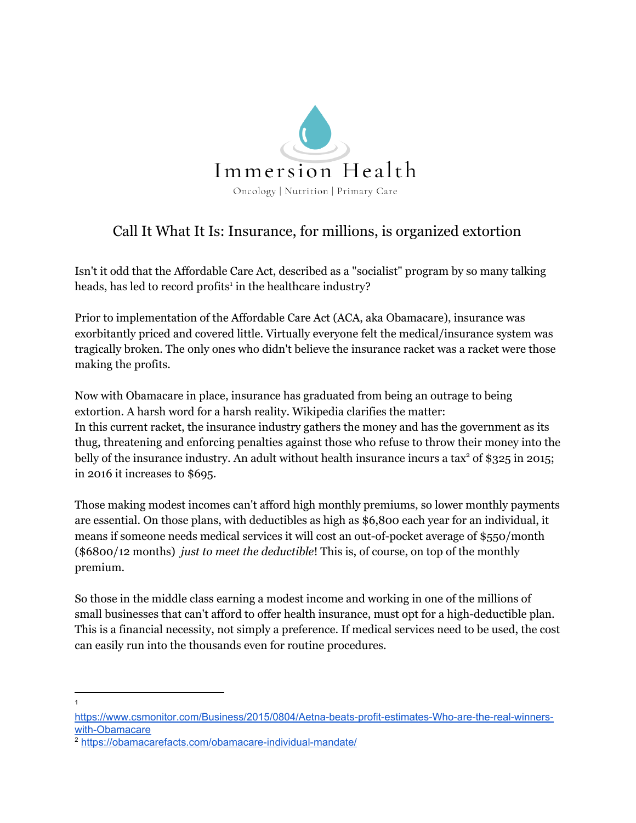

## Call It What It Is: Insurance, for millions, is organized extortion

Isn't it odd that the Affordable Care Act, described as a "socialist" program by so many talking heads, has led to record profits<sup>1</sup> in the healthcare industry?

Prior to implementation of the Affordable Care Act (ACA, aka Obamacare), insurance was exorbitantly priced and covered little. Virtually everyone felt the medical/insurance system was tragically broken. The only ones who didn't believe the insurance racket was a racket were those making the profits.

Now with Obamacare in place, insurance has graduated from being an outrage to being extortion. A harsh word for a harsh reality. Wikipedia clarifies the matter: In this current racket, the insurance industry gathers the money and has the government as its thug, threatening and enforcing penalties against those who refuse to throw their money into the belly of the insurance industry. An adult without health insurance incurs a tax<sup>2</sup> of \$325 in 2015; in 2016 it increases to \$695.

Those making modest incomes can't afford high monthly premiums, so lower monthly payments are essential. On those plans, with deductibles as high as \$6,800 each year for an individual, it means if someone needs medical services it will cost an out-of-pocket average of \$550/month (\$6800/12 months) *just to meet the deductible*! This is, of course, on top of the monthly premium.

So those in the middle class earning a modest income and working in one of the millions of small businesses that can't afford to offer health insurance, must opt for a high-deductible plan. This is a financial necessity, not simply a preference. If medical services need to be used, the cost can easily run into the thousands even for routine procedures.

1

[https://www.csmonitor.com/Business/2015/0804/Aetna-beats-profit-estimates-Who-are-the-real-winners](https://www.csmonitor.com/Business/2015/0804/Aetna-beats-profit-estimates-Who-are-the-real-winners-with-Obamacare)[with-Obamacare](https://www.csmonitor.com/Business/2015/0804/Aetna-beats-profit-estimates-Who-are-the-real-winners-with-Obamacare)

<sup>2</sup> <https://obamacarefacts.com/obamacare-individual-mandate/>